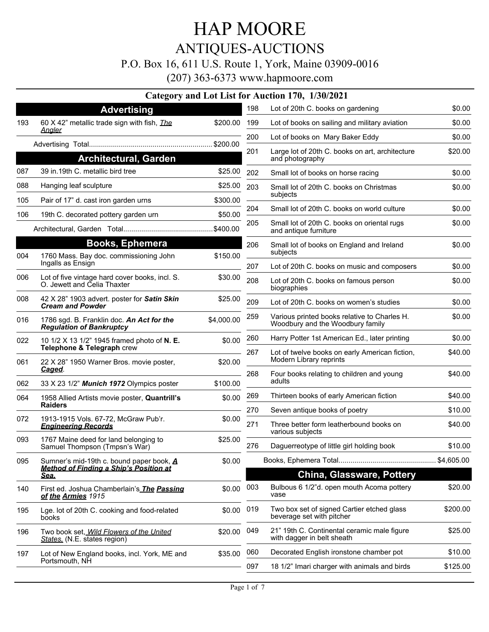## ANTIQUES-AUCTIONS

#### P.O. Box 16, 611 U.S. Route 1, York, Maine 03909-0016

|     |                                                                                                             |            |     | Category and Lot List for Auction 170, 1/30/2021                                 |          |
|-----|-------------------------------------------------------------------------------------------------------------|------------|-----|----------------------------------------------------------------------------------|----------|
|     | <b>Advertising</b>                                                                                          |            | 198 | Lot of 20th C. books on gardening                                                | \$0.00   |
| 193 | 60 X 42" metallic trade sign with fish, <i>The</i>                                                          | \$200.00   | 199 | Lot of books on sailing and military aviation                                    | \$0.00   |
|     | <u>Analer</u>                                                                                               |            | 200 | Lot of books on Mary Baker Eddy                                                  | \$0.00   |
|     |                                                                                                             |            | 201 | Large lot of 20th C. books on art, architecture                                  | \$20.00  |
| 087 | <b>Architectural, Garden</b><br>39 in.19th C. metallic bird tree                                            |            |     | and photography                                                                  |          |
|     |                                                                                                             | \$25.00    | 202 | Small lot of books on horse racing                                               | \$0.00   |
| 088 | Hanging leaf sculpture                                                                                      | \$25.00    | 203 | Small lot of 20th C. books on Christmas<br>subjects                              | \$0.00   |
| 105 | Pair of 17" d. cast iron garden urns                                                                        | \$300.00   | 204 | Small lot of 20th C. books on world culture                                      | \$0.00   |
| 106 | 19th C. decorated pottery garden urn                                                                        | \$50.00    |     |                                                                                  |          |
|     |                                                                                                             | \$400.00   | 205 | Small lot of 20th C. books on oriental rugs<br>and antique furniture             | \$0.00   |
|     | <b>Books, Ephemera</b>                                                                                      |            | 206 | Small lot of books on England and Ireland<br>subjects                            | \$0.00   |
| 004 | 1760 Mass. Bay doc. commissioning John<br>Ingalls as Ensign                                                 | \$150.00   | 207 | Lot of 20th C. books on music and composers                                      | \$0.00   |
| 006 | Lot of five vintage hard cover books, incl. S.<br>O. Jewett and Celia Thaxter                               | \$30.00    | 208 | Lot of 20th C. books on famous person<br>biographies                             | \$0.00   |
| 008 | 42 X 28" 1903 advert. poster for Satin Skin<br><b>Cream and Powder</b>                                      | \$25.00    | 209 | Lot of 20th C. books on women's studies                                          | \$0.00   |
| 016 | 1786 sgd. B. Franklin doc. An Act for the<br><b>Regulation of Bankruptcy</b>                                | \$4,000.00 | 259 | Various printed books relative to Charles H.<br>Woodbury and the Woodbury family | \$0.00   |
| 022 | 10 1/2 X 13 1/2" 1945 framed photo of N. E.                                                                 | \$0.00     | 260 | Harry Potter 1st American Ed., later printing                                    | \$0.00   |
| 061 | Telephone & Telegraph crew<br>22 X 28" 1950 Warner Bros. movie poster,                                      | \$20.00    | 267 | Lot of twelve books on early American fiction,<br>Modern Library reprints        | \$40.00  |
|     | Caged.                                                                                                      |            | 268 | Four books relating to children and young                                        | \$40.00  |
| 062 | 33 X 23 1/2" Munich 1972 Olympics poster                                                                    | \$100.00   |     | adults                                                                           |          |
| 064 | 1958 Allied Artists movie poster, Quantrill's<br><b>Raiders</b>                                             | \$0.00     | 269 | Thirteen books of early American fiction                                         | \$40.00  |
| 072 | 1913-1915 Vols. 67-72, McGraw Pub'r.                                                                        | \$0.00     | 270 | Seven antique books of poetry                                                    | \$10.00  |
|     | <b>Engineering Records</b>                                                                                  |            | 271 | Three better form leatherbound books on<br>various subjects                      | \$40.00  |
| 093 | 1767 Maine deed for land belonging to<br>Samuel Thompson (Tmpsn's War)                                      | \$25.00    | 276 | Daguerreotype of little girl holding book                                        | \$10.00  |
| 095 | Sumner's mid-19th c. bound paper book, A<br>\$0.00<br><b>Method of Finding a Ship's Position at</b><br>Sea. |            |     |                                                                                  |          |
|     |                                                                                                             |            |     | <b>China, Glassware, Pottery</b>                                                 |          |
| 140 | First ed. Joshua Chamberlain's The Passing<br>of the Armies 1915                                            | \$0.00     | 003 | Bulbous 6 1/2"d. open mouth Acoma pottery<br>vase                                | \$20.00  |
| 195 | Lge. lot of 20th C. cooking and food-related<br>books                                                       | \$0.00     | 019 | Two box set of signed Cartier etched glass<br>beverage set with pitcher          | \$200.00 |
| 196 | Two book set, Wild Flowers of the United<br>States. (N.E. states region)                                    | \$20.00    | 049 | 21" 19th C. Continental ceramic male figure<br>with dagger in belt sheath        | \$25.00  |
| 197 | Lot of New England books, incl. York, ME and                                                                | \$35.00    | 060 | Decorated English ironstone chamber pot                                          | \$10.00  |
|     | Portsmouth, NH                                                                                              |            | 097 | 18 1/2" Imari charger with animals and birds                                     | \$125.00 |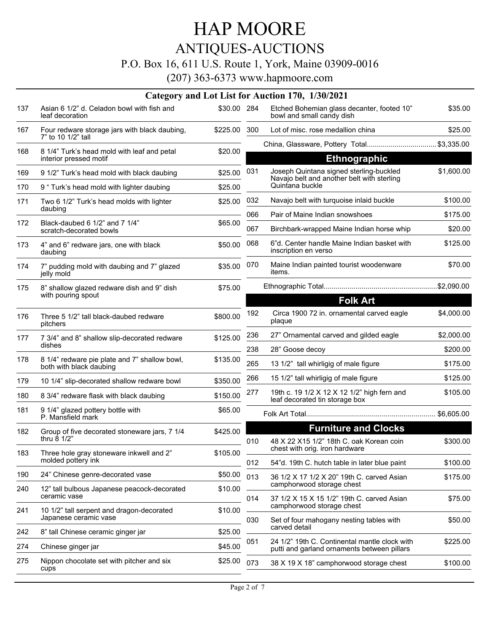## HAP MOORE ANTIQUES-AUCTIONS

#### P.O. Box 16, 611 U.S. Route 1, York, Maine 03909-0016

|     |                                                                          |             |            | Category and Lot List for Auction 170, 1/30/2021                                      |                     |
|-----|--------------------------------------------------------------------------|-------------|------------|---------------------------------------------------------------------------------------|---------------------|
| 137 | Asian 6 1/2" d. Celadon bowl with fish and<br>leaf decoration            | \$30.00 284 |            | Etched Bohemian glass decanter, footed 10"<br>bowl and small candy dish               | \$35.00             |
| 167 | Four redware storage jars with black daubing,<br>7" to 10 1/2" tall      | \$225.00    | 300        | Lot of misc, rose medallion china                                                     | \$25.00             |
| 168 | 8 1/4" Turk's head mold with leaf and petal                              | \$20.00     |            | China, Glassware, Pottery Total \$3,335.00                                            |                     |
|     | interior pressed motif                                                   |             |            | <b>Ethnographic</b>                                                                   |                     |
| 169 | 9 1/2" Turk's head mold with black daubing                               | \$25.00     | 031        | Joseph Quintana signed sterling-buckled<br>Navajo belt and another belt with sterling | \$1,600.00          |
| 170 | 9 " Turk's head mold with lighter daubing                                | \$25.00     |            | Quintana buckle                                                                       |                     |
| 171 | Two 6 1/2" Turk's head molds with lighter<br>daubing                     | \$25.00     | 032        | Navajo belt with turquoise inlaid buckle                                              | \$100.00            |
| 172 | Black-daubed 6 1/2" and 7 1/4"<br>scratch-decorated bowls                | \$65.00     | 066<br>067 | Pair of Maine Indian snowshoes<br>Birchbark-wrapped Maine Indian horse whip           | \$175.00<br>\$20.00 |
| 173 | 4" and 6" redware jars, one with black<br>daubing                        | \$50.00     | 068        | 6"d. Center handle Maine Indian basket with<br>inscription en verso                   | \$125.00            |
| 174 | 7" pudding mold with daubing and 7" glazed<br>jelly mold                 | \$35.00     | 070        | Maine Indian painted tourist woodenware<br>items.                                     | \$70.00             |
| 175 | 8" shallow glazed redware dish and 9" dish<br>with pouring spout         | \$75.00     |            |                                                                                       |                     |
|     |                                                                          |             |            | <b>Folk Art</b>                                                                       |                     |
| 176 | Three 5 1/2" tall black-daubed redware<br>pitchers                       | \$800.00    | 192        | Circa 1900 72 in. ornamental carved eagle<br>plaque                                   | \$4,000.00          |
| 177 | 7 3/4" and 8" shallow slip-decorated redware                             | \$125.00    | 236        | 27" Ornamental carved and gilded eagle                                                | \$2,000.00          |
|     | dishes                                                                   |             | 238        | 28" Goose decoy                                                                       | \$200.00            |
| 178 | 8 1/4" redware pie plate and 7" shallow bowl,<br>both with black daubing | \$135.00    | 265        | 13 1/2" tall whirligig of male figure                                                 | \$175.00            |
| 179 | 10 1/4" slip-decorated shallow redware bowl                              | \$350.00    | 266        | 15 1/2" tall whirligig of male figure                                                 | \$125.00            |
| 180 | 8 3/4" redware flask with black daubing                                  | \$150.00    | 277        | 19th c. 19 1/2 X 12 X 12 1/2" high fern and<br>leaf decorated tin storage box         | \$105.00            |
| 181 | 9 1/4" glazed pottery bottle with<br>P. Mansfield mark                   | \$65.00     |            |                                                                                       |                     |
| 182 | Group of five decorated stoneware jars, 7 1/4                            | \$425.00    |            | <b>Furniture and Clocks</b>                                                           |                     |
| 183 | thru $8 \frac{1}{2}$<br>Three hole gray stoneware inkwell and 2"         | \$105.00    | 010        | 48 X 22 X15 1/2" 18th C. oak Korean coin<br>chest with orig. Iron hardware            | \$300.00            |
|     | molded pottery ink                                                       |             | 012        | 54"d. 19th C. hutch table in later blue paint                                         | \$100.00            |
| 190 | 24" Chinese genre-decorated vase                                         | \$50.00     | 013        | 36 1/2 X 17 1/2 X 20" 19th C. carved Asian                                            | \$175.00            |
| 240 | 12" tall bulbous Japanese peacock-decorated<br>ceramic vase              | \$10.00     | 014        | camphorwood storage chest<br>37 1/2 X 15 X 15 1/2" 19th C. carved Asian               | \$75.00             |
| 241 | 10 1/2" tall serpent and dragon-decorated                                | \$10.00     |            | camphorwood storage chest                                                             |                     |
|     | Japanese ceramic vase                                                    |             | 030        | Set of four mahogany nesting tables with<br>carved detail                             | \$50.00             |
| 242 | 8" tall Chinese ceramic ginger jar                                       | \$25.00     | 051        | 24 1/2" 19th C. Continental mantle clock with                                         | \$225.00            |
| 274 | Chinese ginger jar                                                       | \$45.00     |            | putti and garland ornaments between pillars                                           |                     |
| 275 | Nippon chocolate set with pitcher and six<br>cups                        | \$25.00     | 073        | 38 X 19 X 18" camphorwood storage chest                                               | \$100.00            |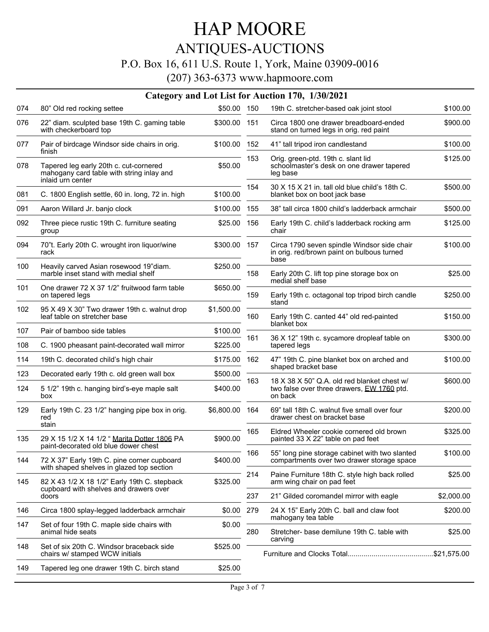### ANTIQUES-AUCTIONS

#### P.O. Box 16, 611 U.S. Route 1, York, Maine 03909-0016

|     |                                                                                                                                              |                |     | Category and Lot List for Auction 170, 1/30/2021                                                     |            |
|-----|----------------------------------------------------------------------------------------------------------------------------------------------|----------------|-----|------------------------------------------------------------------------------------------------------|------------|
| 074 | 80" Old red rocking settee                                                                                                                   | \$50.00 150    |     | 19th C. stretcher-based oak joint stool                                                              | \$100.00   |
| 076 | 22" diam. sculpted base 19th C. gaming table<br>with checkerboard top                                                                        | \$300.00 151   |     | Circa 1800 one drawer breadboard-ended<br>stand on turned legs in orig. red paint                    | \$900.00   |
| 077 | Pair of birdcage Windsor side chairs in orig.<br>finish                                                                                      | \$100.00 152   |     | 41" tall tripod iron candlestand                                                                     | \$100.00   |
| 078 | Tapered leg early 20th c. cut-cornered<br>mahogany card table with string inlay and<br>inlaid urn center                                     | \$50.00        | 153 | Orig. green-ptd. 19th c. slant lid<br>schoolmaster's desk on one drawer tapered<br>leg base          | \$125.00   |
| 081 | C. 1800 English settle, 60 in. long, 72 in. high                                                                                             | \$100.00       | 154 | 30 X 15 X 21 in, tall old blue child's 18th C.<br>blanket box on boot jack base                      | \$500.00   |
| 091 | Aaron Willard Jr. banjo clock                                                                                                                | \$100.00       | 155 | 38" tall circa 1800 child's ladderback armchair                                                      | \$500.00   |
| 092 | Three piece rustic 19th C. furniture seating<br>group                                                                                        | \$25.00        | 156 | Early 19th C. child's ladderback rocking arm<br>chair                                                | \$125.00   |
| 094 | 70"t. Early 20th C. wrought iron liquor/wine<br>rack                                                                                         | \$300.00 157   |     | Circa 1790 seven spindle Windsor side chair<br>in orig. red/brown paint on bulbous turned            | \$100.00   |
| 100 | Heavily carved Asian rosewood 19"diam.<br>marble inset stand with medial shelf                                                               | \$250.00       | 158 | base<br>Early 20th C. lift top pine storage box on<br>medial shelf base                              | \$25.00    |
| 101 | One drawer 72 X 37 1/2" fruitwood farm table<br>on tapered legs                                                                              | \$650.00       | 159 | Early 19th c. octagonal top tripod birch candle<br>stand                                             | \$250.00   |
| 102 | 95 X 49 X 30" Two drawer 19th c. walnut drop<br>leaf table on stretcher base                                                                 | \$1,500.00     | 160 | Early 19th C. canted 44" old red-painted<br>blanket box                                              | \$150.00   |
| 107 | Pair of bamboo side tables                                                                                                                   | \$100.00       |     |                                                                                                      |            |
| 108 | C. 1900 pheasant paint-decorated wall mirror                                                                                                 | \$225.00       | 161 | 36 X 12" 19th c. sycamore dropleaf table on<br>tapered legs                                          | \$300.00   |
| 114 | 19th C. decorated child's high chair                                                                                                         | \$175.00       | 162 | 47" 19th C. pine blanket box on arched and<br>shaped bracket base                                    | \$100.00   |
| 123 | Decorated early 19th c. old green wall box                                                                                                   | \$500.00       |     |                                                                                                      |            |
| 124 | 5 1/2" 19th c. hanging bird's-eye maple salt<br>box                                                                                          | \$400.00       | 163 | 18 X 38 X 50" Q.A. old red blanket chest w/<br>two false over three drawers, EW 1760 ptd.<br>on back | \$600.00   |
| 129 | Early 19th C. 23 1/2" hanging pipe box in orig.<br>red<br>stain                                                                              | \$6,800.00 164 |     | 69" tall 18th C. walnut five small over four<br>drawer chest on bracket base                         | \$200.00   |
| 135 | 29 X 15 1/2 X 14 1/2 " Marita Dotter 1806 PA<br>paint-decorated old blue dower chest                                                         | \$900.00       | 165 | Eldred Wheeler cookie cornered old brown<br>painted 33 X 22" table on pad feet                       | \$325.00   |
| 144 | 72 X 37" Early 19th C. pine corner cupboard                                                                                                  | \$400.00       | 166 | 55" long pine storage cabinet with two slanted<br>compartments over two drawer storage space         | \$100.00   |
| 145 | with shaped shelves in glazed top section<br>82 X 43 1/2 X 18 1/2" Early 19th C. stepback<br>cupboard with shelves and drawers over<br>doors | \$325.00       | 214 | Paine Furniture 18th C. style high back rolled<br>arm wing chair on pad feet                         | \$25.00    |
|     |                                                                                                                                              |                | 237 | 21" Gilded coromandel mirror with eagle                                                              | \$2,000.00 |
| 146 | Circa 1800 splay-legged ladderback armchair                                                                                                  | \$0.00         | 279 | 24 X 15" Early 20th C. ball and claw foot<br>mahogany tea table                                      | \$200.00   |
| 147 | Set of four 19th C. maple side chairs with<br>animal hide seats                                                                              | \$0.00         | 280 | Stretcher- base demilune 19th C. table with                                                          | \$25.00    |
| 148 | Set of six 20th C. Windsor braceback side<br>chairs w/ stamped WCW initials                                                                  | \$525.00       |     | carving                                                                                              |            |
| 149 | Tapered leg one drawer 19th C. birch stand                                                                                                   | \$25.00        |     |                                                                                                      |            |
|     |                                                                                                                                              |                |     |                                                                                                      |            |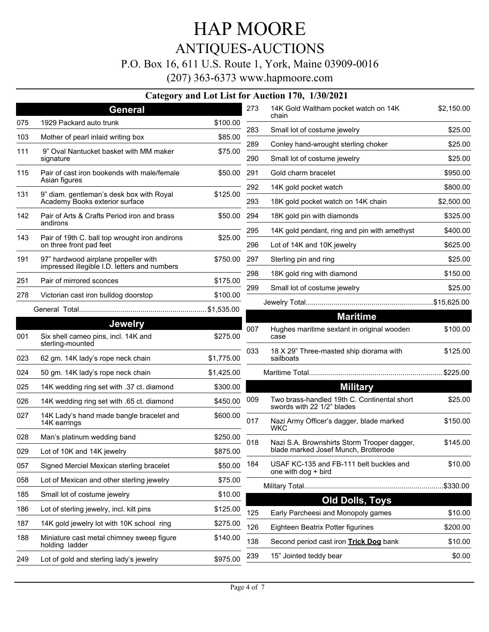#### ANTIQUES-AUCTIONS

#### P.O. Box 16, 611 U.S. Route 1, York, Maine 03909-0016

(207) 363-6373 www.hapmoore.com

|     |                                                                            |            |     | Category and Lot List for Auction 170, 1/30/2021                          |                    |
|-----|----------------------------------------------------------------------------|------------|-----|---------------------------------------------------------------------------|--------------------|
|     | <b>General</b>                                                             |            | 273 | 14K Gold Waltham pocket watch on 14K<br>chain                             | \$2,150.00         |
| 075 | 1929 Packard auto trunk                                                    | \$100.00   | 283 | Small lot of costume jewelry                                              | \$25.00            |
| 103 | Mother of pearl inlaid writing box                                         | \$85.00    | 289 |                                                                           |                    |
| 111 | 9" Oval Nantucket basket with MM maker<br>signature                        | \$75.00    | 290 | Conley hand-wrought sterling choker<br>Small lot of costume jewelry       | \$25.00<br>\$25.00 |
| 115 | Pair of cast iron bookends with male/female<br>Asian figures               | \$50.00    | 291 | Gold charm bracelet                                                       | \$950.00           |
|     |                                                                            |            | 292 | 14K gold pocket watch                                                     | \$800.00           |
| 131 | 9" diam. gentleman's desk box with Royal<br>Academy Books exterior surface | \$125.00   | 293 | 18K gold pocket watch on 14K chain                                        | \$2,500.00         |
| 142 | Pair of Arts & Crafts Period iron and brass<br>andirons                    | \$50.00    | 294 | 18K gold pin with diamonds                                                | \$325.00           |
| 143 | Pair of 19th C. ball top wrought iron andirons                             | \$25.00    | 295 | 14K gold pendant, ring and pin with amethyst                              | \$400.00           |
|     | on three front pad feet                                                    |            | 296 | Lot of 14K and 10K jewelry                                                | \$625.00           |
| 191 | 97" hardwood airplane propeller with                                       | \$750.00   | 297 | Sterling pin and ring                                                     | \$25.00            |
|     | impressed illegible I.D. letters and numbers                               |            | 298 | 18K gold ring with diamond                                                | \$150.00           |
| 251 | Pair of mirrored sconces                                                   | \$175.00   | 299 | Small lot of costume jewelry                                              | \$25.00            |
| 278 | Victorian cast iron bulldog doorstop                                       | \$100.00   |     |                                                                           |                    |
|     |                                                                            |            |     | <b>Maritime</b>                                                           |                    |
|     | <b>Jewelry</b>                                                             |            | 007 | Hughes maritime sextant in original wooden                                | \$100.00           |
| 001 | Six shell cameo pins, incl. 14K and<br>sterling-mounted                    | \$275.00   |     | case                                                                      |                    |
| 023 | 62 gm. 14K lady's rope neck chain                                          | \$1,775.00 | 033 | 18 X 29" Three-masted ship diorama with<br>sailboats                      | \$125.00           |
| 024 | 50 gm. 14K lady's rope neck chain                                          | \$1,425.00 |     |                                                                           |                    |
| 025 | 14K wedding ring set with .37 ct. diamond                                  | \$300.00   |     | <b>Military</b>                                                           |                    |
| 026 | 14K wedding ring set with .65 ct. diamond                                  | \$450.00   | 009 | Two brass-handled 19th C. Continental short<br>swords with 22 1/2" blades | \$25.00            |
| 027 | 14K Lady's hand made bangle bracelet and<br>14K earrings                   | \$600.00   | 017 | Nazi Army Officer's dagger, blade marked<br><b>WKC</b>                    | \$150.00           |
| 028 | Man's platinum wedding band                                                | \$250.00   | 018 | Nazi S.A. Brownshirts Storm Trooper dagger,                               | \$145.00           |
| 029 | Lot of 10K and 14K jewelry                                                 | \$875.00   |     | blade marked Josef Munch, Brotterode                                      |                    |
| 057 | Signed Merciel Mexican sterling bracelet                                   | \$50.00    | 184 | USAF KC-135 and FB-111 belt buckles and<br>one with dog + bird            | \$10.00            |
| 058 | Lot of Mexican and other sterling jewelry                                  | \$75.00    |     |                                                                           | .\$330.00          |
| 185 | Small lot of costume jewelry                                               | \$10.00    |     |                                                                           |                    |
| 186 | Lot of sterling jewelry, incl. kilt pins                                   | \$125.00   | 125 | <b>Old Dolls, Toys</b><br>Early Parcheesi and Monopoly games              | \$10.00            |
| 187 | 14K gold jewelry lot with 10K school ring                                  | \$275.00   | 126 | Eighteen Beatrix Potter figurines                                         | \$200.00           |
| 188 | Miniature cast metal chimney sweep figure<br>holding ladder                | \$140.00   | 138 | Second period cast iron Trick Dog bank                                    | \$10.00            |
|     |                                                                            | \$975.00   | 239 | 15" Jointed teddy bear                                                    | \$0.00             |
| 249 | Lot of gold and sterling lady's jewelry                                    |            |     |                                                                           |                    |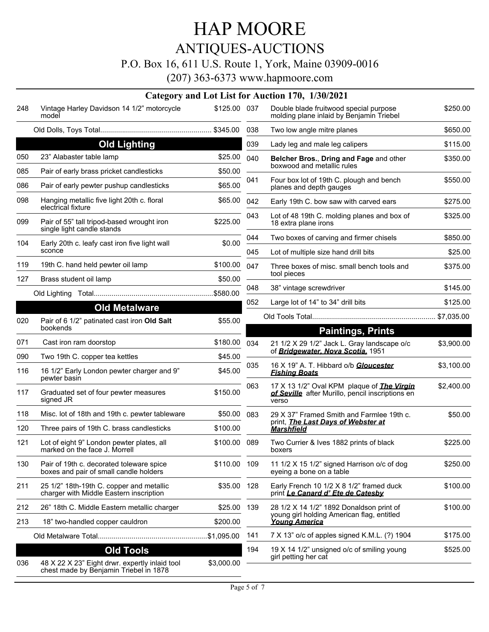# ANTIQUES-AUCTIONS

#### P.O. Box 16, 611 U.S. Route 1, York, Maine 03909-0016

|     |                                                                                          |              |     | Category and Lot List for Auction 170, 1/30/2021                                                               |            |
|-----|------------------------------------------------------------------------------------------|--------------|-----|----------------------------------------------------------------------------------------------------------------|------------|
| 248 | Vintage Harley Davidson 14 1/2" motorcycle<br>model                                      | \$125.00 037 |     | Double blade fruitwood special purpose<br>molding plane inlaid by Benjamin Triebel                             | \$250.00   |
|     |                                                                                          |              | 038 | Two low angle mitre planes                                                                                     | \$650.00   |
|     | <b>Old Lighting</b>                                                                      |              | 039 | Lady leg and male leg calipers                                                                                 | \$115.00   |
| 050 | 23" Alabaster table lamp                                                                 | \$25.00      | 040 | Belcher Bros., Dring and Fage and other                                                                        | \$350.00   |
| 085 | Pair of early brass pricket candlesticks                                                 | \$50.00      |     | boxwood and metallic rules                                                                                     |            |
| 086 | Pair of early pewter pushup candlesticks                                                 | \$65.00      | 041 | Four box lot of 19th C. plough and bench<br>planes and depth gauges                                            | \$550.00   |
| 098 | Hanging metallic five light 20th c. floral<br>electrical fixture                         | \$65.00      | 042 | Early 19th C. bow saw with carved ears                                                                         | \$275.00   |
| 099 | Pair of 55" tall tripod-based wrought iron<br>single light candle stands                 | \$225.00     | 043 | Lot of 48 19th C. molding planes and box of<br>18 extra plane irons                                            | \$325.00   |
| 104 | Early 20th c. leafy cast iron five light wall                                            | \$0.00       | 044 | Two boxes of carving and firmer chisels                                                                        | \$850.00   |
|     | sconce                                                                                   |              | 045 | Lot of multiple size hand drill bits                                                                           | \$25.00    |
| 119 | 19th C. hand held pewter oil lamp                                                        | \$100.00     | 047 | Three boxes of misc. small bench tools and<br>tool pieces                                                      | \$375.00   |
| 127 | Brass student oil lamp                                                                   | \$50.00      |     |                                                                                                                |            |
|     |                                                                                          |              | 048 | 38" vintage screwdriver                                                                                        | \$145.00   |
|     | <b>Old Metalware</b>                                                                     |              | 052 | Large lot of 14" to 34" drill bits                                                                             | \$125.00   |
| 020 | Pair of 6 1/2" patinated cast iron Old Salt<br>bookends                                  | \$55.00      |     | <b>Paintings, Prints</b>                                                                                       |            |
| 071 | Cast iron ram doorstop                                                                   | \$180.00     | 034 | 21 1/2 X 29 1/2" Jack L. Gray landscape o/c                                                                    | \$3,900.00 |
| 090 | Two 19th C. copper tea kettles                                                           | \$45.00      |     | of Bridgewater. Nova Scotia. 1951                                                                              |            |
| 116 | 16 1/2" Early London pewter charger and 9"<br>pewter basin                               | \$45.00      | 035 | 16 X 19" A. T. Hibbard o/b Gloucester<br><u>Fishing Boats</u>                                                  | \$3,100.00 |
| 117 | Graduated set of four pewter measures<br>signed JR                                       | \$150.00     | 063 | 17 X 13 1/2" Oval KPM plaque of <b>The Virgin</b><br>of Seville after Murillo, pencil inscriptions en<br>verso | \$2,400.00 |
| 118 | Misc. lot of 18th and 19th c. pewter tableware                                           | \$50.00      | 083 | 29 X 37" Framed Smith and Farmlee 19th c.                                                                      | \$50.00    |
| 120 | Three pairs of 19th C. brass candlesticks                                                | \$100.00     |     | print, <i>The Last Days of Webster at</i><br><b>Marshfield</b>                                                 |            |
| 121 | Lot of eight 9" London pewter plates, all<br>marked on the face J. Morrell               | \$100.00     | 089 | Two Currier & Ives 1882 prints of black<br>boxers                                                              | \$225.00   |
| 130 | Pair of 19th c. decorated toleware spice<br>boxes and pair of small candle holders       | \$110.00 109 |     | 11 1/2 X 15 1/2" signed Harrison o/c of dog<br>eyeing a bone on a table                                        | \$250.00   |
| 211 | 25 1/2" 18th-19th C. copper and metallic<br>charger with Middle Eastern inscription      | \$35.00      | 128 | Early French 10 1/2 X 8 1/2" framed duck<br>print Le Canard d' Ete de Catesby                                  | \$100.00   |
| 212 | 26" 18th C. Middle Eastern metallic charger                                              | \$25.00      | 139 | 28 1/2 X 14 1/2" 1892 Donaldson print of<br>young girl holding American flag, entitled<br><b>Young America</b> | \$100.00   |
| 213 | 18" two-handled copper cauldron                                                          | \$200.00     |     |                                                                                                                |            |
|     |                                                                                          |              | 141 | 7 X 13" o/c of apples signed K.M.L. (?) 1904                                                                   | \$175.00   |
|     | <b>Old Tools</b>                                                                         |              | 194 | 19 X 14 1/2" unsigned o/c of smiling young<br>girl petting her cat                                             | \$525.00   |
| 036 | 48 X 22 X 23" Eight drwr. expertly inlaid tool<br>chest made by Benjamin Triebel in 1878 | \$3,000.00   |     |                                                                                                                |            |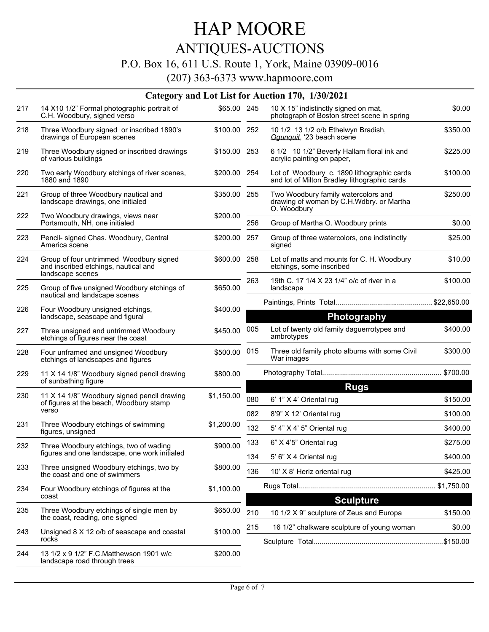### ANTIQUES-AUCTIONS

#### P.O. Box 16, 611 U.S. Route 1, York, Maine 03909-0016

|     |                                                                                                     |              |     | Category and Lot List for Auction 170, 1/30/2021                                               |            |
|-----|-----------------------------------------------------------------------------------------------------|--------------|-----|------------------------------------------------------------------------------------------------|------------|
| 217 | 14 X10 1/2" Formal photographic portrait of<br>C.H. Woodbury, signed verso                          | \$65.00 245  |     | 10 X 15" indistinctly signed on mat,<br>photograph of Boston street scene in spring            | \$0.00     |
| 218 | Three Woodbury signed or inscribed 1890's<br>drawings of European scenes                            | \$100.00 252 |     | 10 1/2 13 1/2 o/b Ethelwyn Bradish,<br>Ogunguit, '23 beach scene                               | \$350.00   |
| 219 | Three Woodbury signed or inscribed drawings<br>of various buildings                                 | \$150.00 253 |     | 6 1/2 10 1/2" Beverly Hallam floral ink and<br>acrylic painting on paper,                      | \$225.00   |
| 220 | Two early Woodbury etchings of river scenes,<br>1880 and 1890                                       | \$200.00 254 |     | Lot of Woodbury c. 1890 lithographic cards<br>and lot of Milton Bradley lithographic cards     | \$100.00   |
| 221 | Group of three Woodbury nautical and<br>landscape drawings, one initialed                           | \$350.00 255 |     | Two Woodbury family watercolors and<br>drawing of woman by C.H.Wdbry. or Martha<br>O. Woodbury | \$250.00   |
| 222 | Two Woodbury drawings, views near<br>Portsmouth, NH, one initialed                                  | \$200.00     | 256 | Group of Martha O. Woodbury prints                                                             | \$0.00     |
| 223 | Pencil- signed Chas. Woodbury, Central<br>America scene                                             | \$200.00     | 257 | Group of three watercolors, one indistinctly<br>signed                                         | \$25.00    |
| 224 | Group of four untrimmed Woodbury signed<br>and inscribed etchings, nautical and<br>landscape scenes | \$600.00 258 |     | Lot of matts and mounts for C. H. Woodbury<br>etchings, some inscribed                         | \$10.00    |
| 225 | Group of five unsigned Woodbury etchings of<br>nautical and landscape scenes                        | \$650.00     | 263 | 19th C. 17 1/4 X 23 1/4" o/c of river in a<br>landscape                                        | \$100.00   |
| 226 | Four Woodbury unsigned etchings,<br>landscape, seascape and figural                                 | \$400.00     |     | <b>Photography</b>                                                                             |            |
| 227 | Three unsigned and untrimmed Woodbury<br>etchings of figures near the coast                         | \$450.00     | 005 | Lot of twenty old family daguerrotypes and<br>ambrotypes                                       | \$400.00   |
| 228 | Four unframed and unsigned Woodbury<br>etchings of landscapes and figures                           | \$500.00     | 015 | Three old family photo albums with some Civil<br>War images                                    | \$300.00   |
| 229 | 11 X 14 1/8" Woodbury signed pencil drawing<br>of sunbathing figure                                 | \$800.00     |     |                                                                                                |            |
| 230 | 11 X 14 1/8" Woodbury signed pencil drawing                                                         | \$1,150.00   | 080 | <b>Rugs</b><br>6' 1" X 4' Oriental rug                                                         | \$150.00   |
|     | of figures at the beach, Woodbury stamp<br>verso                                                    |              | 082 | 8'9" X 12' Oriental rug                                                                        | \$100.00   |
| 231 | Three Woodbury etchings of swimming                                                                 | \$1,200.00   | 132 | 5' 4" X 4' 5" Oriental rug                                                                     | \$400.00   |
|     | figures, unsigned                                                                                   |              | 133 | 6" X 4'5" Oriental rug                                                                         | \$275.00   |
| 232 | Three Woodbury etchings, two of wading<br>figures and one landscape, one work initialed             | \$900.00     | 134 | 5' 6" X 4 Oriental rug                                                                         | \$400.00   |
| 233 | Three unsigned Woodbury etchings, two by<br>the coast and one of swimmers                           | \$800.00     | 136 | 10' X 8' Heriz oriental rug                                                                    | \$425.00   |
| 234 | Four Woodbury etchings of figures at the<br>coast                                                   | \$1,100.00   |     | <b>Sculpture</b>                                                                               | \$1,750.00 |
| 235 | Three Woodbury etchings of single men by<br>the coast, reading, one signed                          | \$650.00     | 210 | 10 1/2 X 9" sculpture of Zeus and Europa                                                       | \$150.00   |
| 243 | Unsigned 8 X 12 o/b of seascape and coastal<br>rocks                                                | \$100.00     | 215 | 16 1/2" chalkware sculpture of young woman                                                     | \$0.00     |
| 244 | 13 1/2 x 9 1/2" F.C. Matthewson 1901 w/c<br>landscape road through trees                            | \$200.00     |     |                                                                                                |            |
|     |                                                                                                     |              |     |                                                                                                |            |